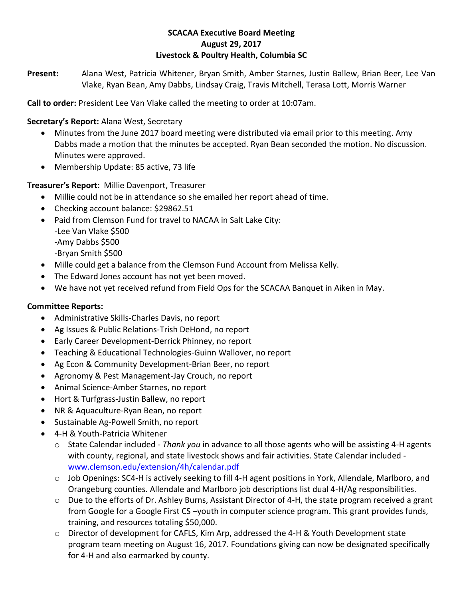### **SCACAA Executive Board Meeting August 29, 2017 Livestock & Poultry Health, Columbia SC**

**Present:** Alana West, Patricia Whitener, Bryan Smith, Amber Starnes, Justin Ballew, Brian Beer, Lee Van Vlake, Ryan Bean, Amy Dabbs, Lindsay Craig, Travis Mitchell, Terasa Lott, Morris Warner

**Call to order:** President Lee Van Vlake called the meeting to order at 10:07am.

**Secretary's Report:** Alana West, Secretary

- Minutes from the June 2017 board meeting were distributed via email prior to this meeting. Amy Dabbs made a motion that the minutes be accepted. Ryan Bean seconded the motion. No discussion. Minutes were approved.
- Membership Update: 85 active, 73 life

**Treasurer's Report:** Millie Davenport, Treasurer

- Millie could not be in attendance so she emailed her report ahead of time.
- Checking account balance: \$29862.51
- Paid from Clemson Fund for travel to NACAA in Salt Lake City: -Lee Van Vlake \$500 -Amy Dabbs \$500 -Bryan Smith \$500
- Mille could get a balance from the Clemson Fund Account from Melissa Kelly.
- The Edward Jones account has not yet been moved.
- We have not yet received refund from Field Ops for the SCACAA Banquet in Aiken in May.

# **Committee Reports:**

- Administrative Skills-Charles Davis, no report
- Ag Issues & Public Relations-Trish DeHond, no report
- Early Career Development-Derrick Phinney, no report
- Teaching & Educational Technologies-Guinn Wallover, no report
- Ag Econ & Community Development-Brian Beer, no report
- Agronomy & Pest Management-Jay Crouch, no report
- Animal Science-Amber Starnes, no report
- Hort & Turfgrass-Justin Ballew, no report
- NR & Aquaculture-Ryan Bean, no report
- Sustainable Ag-Powell Smith, no report
- 4-H & Youth-Patricia Whitener
	- o State Calendar included *Thank you* in advance to all those agents who will be assisting 4-H agents with county, regional, and state livestock shows and fair activities. State Calendar included [www.clemson.edu/extension/4h/calendar.pdf](http://www.clemson.edu/extension/4h/calendar.pdf)
	- o Job Openings: SC4-H is actively seeking to fill 4-H agent positions in York, Allendale, Marlboro, and Orangeburg counties. Allendale and Marlboro job descriptions list dual 4-H/Ag responsibilities.
	- $\circ$  Due to the efforts of Dr. Ashley Burns, Assistant Director of 4-H, the state program received a grant from Google for a Google First CS –youth in computer science program. This grant provides funds, training, and resources totaling \$50,000.
	- o Director of development for CAFLS, Kim Arp, addressed the 4-H & Youth Development state program team meeting on August 16, 2017. Foundations giving can now be designated specifically for 4-H and also earmarked by county.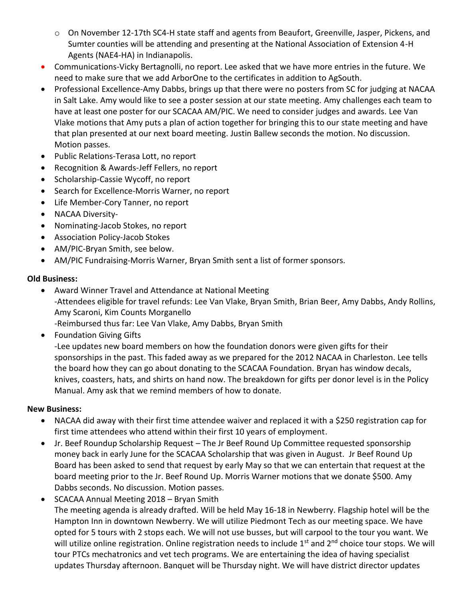- o On November 12-17th SC4-H state staff and agents from Beaufort, Greenville, Jasper, Pickens, and Sumter counties will be attending and presenting at the National Association of Extension 4-H Agents (NAE4-HA) in Indianapolis.
- Communications-Vicky Bertagnolli, no report. Lee asked that we have more entries in the future. We need to make sure that we add ArborOne to the certificates in addition to AgSouth.
- Professional Excellence-Amy Dabbs, brings up that there were no posters from SC for judging at NACAA in Salt Lake. Amy would like to see a poster session at our state meeting. Amy challenges each team to have at least one poster for our SCACAA AM/PIC. We need to consider judges and awards. Lee Van Vlake motions that Amy puts a plan of action together for bringing this to our state meeting and have that plan presented at our next board meeting. Justin Ballew seconds the motion. No discussion. Motion passes.
- Public Relations-Terasa Lott, no report
- Recognition & Awards-Jeff Fellers, no report
- Scholarship-Cassie Wycoff, no report
- Search for Excellence-Morris Warner, no report
- Life Member-Cory Tanner, no report
- NACAA Diversity-
- Nominating-Jacob Stokes, no report
- Association Policy-Jacob Stokes
- AM/PIC-Bryan Smith, see below.
- AM/PIC Fundraising-Morris Warner, Bryan Smith sent a list of former sponsors.

#### **Old Business:**

 Award Winner Travel and Attendance at National Meeting -Attendees eligible for travel refunds: Lee Van Vlake, Bryan Smith, Brian Beer, Amy Dabbs, Andy Rollins, Amy Scaroni, Kim Counts Morganello

-Reimbursed thus far: Lee Van Vlake, Amy Dabbs, Bryan Smith

• Foundation Giving Gifts

-Lee updates new board members on how the foundation donors were given gifts for their sponsorships in the past. This faded away as we prepared for the 2012 NACAA in Charleston. Lee tells the board how they can go about donating to the SCACAA Foundation. Bryan has window decals, knives, coasters, hats, and shirts on hand now. The breakdown for gifts per donor level is in the Policy Manual. Amy ask that we remind members of how to donate.

## **New Business:**

- NACAA did away with their first time attendee waiver and replaced it with a \$250 registration cap for first time attendees who attend within their first 10 years of employment.
- Jr. Beef Roundup Scholarship Request The Jr Beef Round Up Committee requested sponsorship money back in early June for the SCACAA Scholarship that was given in August. Jr Beef Round Up Board has been asked to send that request by early May so that we can entertain that request at the board meeting prior to the Jr. Beef Round Up. Morris Warner motions that we donate \$500. Amy Dabbs seconds. No discussion. Motion passes.
- SCACAA Annual Meeting 2018 Bryan Smith The meeting agenda is already drafted. Will be held May 16-18 in Newberry. Flagship hotel will be the Hampton Inn in downtown Newberry. We will utilize Piedmont Tech as our meeting space. We have opted for 5 tours with 2 stops each. We will not use busses, but will carpool to the tour you want. We will utilize online registration. Online registration needs to include 1<sup>st</sup> and 2<sup>nd</sup> choice tour stops. We will tour PTCs mechatronics and vet tech programs. We are entertaining the idea of having specialist updates Thursday afternoon. Banquet will be Thursday night. We will have district director updates